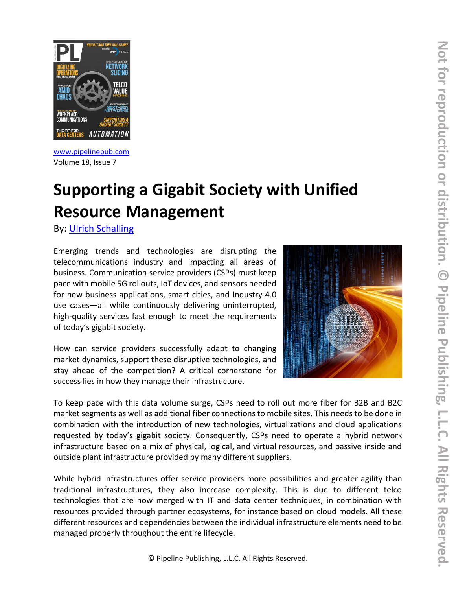

[www.pipelinepub.com](https://www.pipelinepub.com/260) Volume 18, Issue 7

# **Supporting a Gigabit Society with Unified Resource Management**

By: [Ulrich Schalling](https://www.pipelinepub.com/contributors#Ulrich-Schalling)

Emerging trends and technologies are disrupting the telecommunications industry and impacting all areas of business. Communication service providers (CSPs) must keep pace with mobile 5G rollouts, IoT devices, and sensors needed for new business applications, smart cities, and Industry 4.0 use cases—all while continuously delivering uninterrupted, high-quality services fast enough to meet the requirements of today's gigabit society.

How can service providers successfully adapt to changing market dynamics, support these disruptive technologies, and stay ahead of the competition? A critical cornerstone for success lies in how they manage their infrastructure.



To keep pace with this data volume surge, CSPs need to roll out more fiber for B2B and B2C market segments as well as additional fiber connections to mobile sites. This needs to be done in combination with the introduction of new technologies, virtualizations and cloud applications requested by today's gigabit society. Consequently, CSPs need to operate a hybrid network infrastructure based on a mix of physical, logical, and virtual resources, and passive inside and outside plant infrastructure provided by many different suppliers.

While hybrid infrastructures offer service providers more possibilities and greater agility than traditional infrastructures, they also increase complexity. This is due to different telco technologies that are now merged with IT and data center techniques, in combination with resources provided through partner ecosystems, for instance based on cloud models. All these different resources and dependencies between the individual infrastructure elements need to be managed properly throughout the entire lifecycle.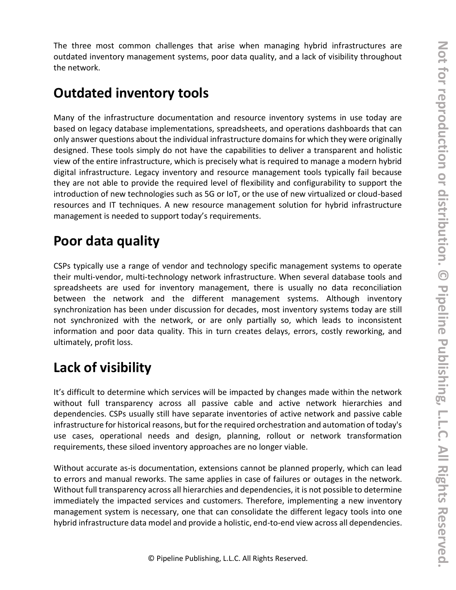The three most common challenges that arise when managing hybrid infrastructures are outdated inventory management systems, poor data quality, and a lack of visibility throughout the network.

## **Outdated inventory tools**

Many of the infrastructure documentation and resource inventory systems in use today are based on legacy database implementations, spreadsheets, and operations dashboards that can only answer questions about the individual infrastructure domains for which they were originally designed. These tools simply do not have the capabilities to deliver a transparent and holistic view of the entire infrastructure, which is precisely what is required to manage a modern hybrid digital infrastructure. Legacy inventory and resource management tools typically fail because they are not able to provide the required level of flexibility and configurability to support the introduction of new technologies such as 5G or IoT, or the use of new virtualized or cloud-based resources and IT techniques. A new resource management solution for hybrid infrastructure management is needed to support today's requirements.

# **Poor data quality**

CSPs typically use a range of vendor and technology specific management systems to operate their multi-vendor, multi-technology network infrastructure. When several database tools and spreadsheets are used for inventory management, there is usually no data reconciliation between the network and the different management systems. Although inventory synchronization has been under discussion for decades, most inventory systems today are still not synchronized with the network, or are only partially so, which leads to inconsistent information and poor data quality. This in turn creates delays, errors, costly reworking, and ultimately, profit loss.

# **Lack of visibility**

It's difficult to determine which services will be impacted by changes made within the network without full transparency across all passive cable and active network hierarchies and dependencies. CSPs usually still have separate inventories of active network and passive cable infrastructure for historical reasons, but for the required orchestration and automation of today's use cases, operational needs and design, planning, rollout or network transformation requirements, these siloed inventory approaches are no longer viable.

Without accurate as-is documentation, extensions cannot be planned properly, which can lead to errors and manual reworks. The same applies in case of failures or outages in the network. Without full transparency across all hierarchies and dependencies, it is not possible to determine immediately the impacted services and customers. Therefore, implementing a new inventory management system is necessary, one that can consolidate the different legacy tools into one hybrid infrastructure data model and provide a holistic, end-to-end view across all dependencies.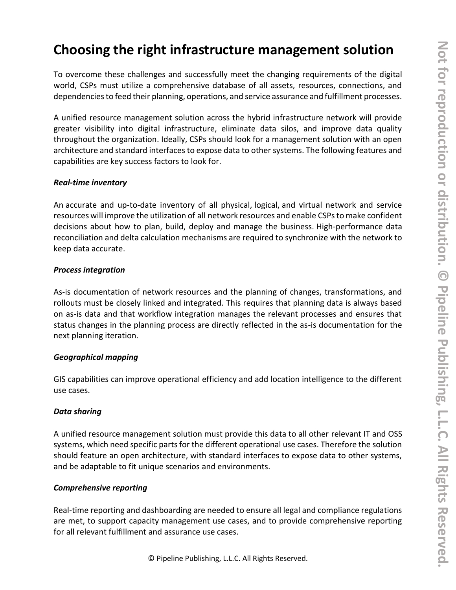# **Choosing the right infrastructure management solution**

To overcome these challenges and successfully meet the changing requirements of the digital world, CSPs must utilize a comprehensive database of all assets, resources, connections, and dependencies to feed their planning, operations, and service assurance and fulfillment processes.

A unified resource management solution across the hybrid infrastructure network will provide greater visibility into digital infrastructure, eliminate data silos, and improve data quality throughout the organization. Ideally, CSPs should look for a management solution with an open architecture and standard interfaces to expose data to other systems. The following features and capabilities are key success factors to look for.

#### *Real-time inventory*

An accurate and up-to-date inventory of all physical, logical, and virtual network and service resources will improve the utilization of all network resources and enable CSPs to make confident decisions about how to plan, build, deploy and manage the business. High-performance data reconciliation and delta calculation mechanisms are required to synchronize with the network to keep data accurate.

#### *Process integration*

As-is documentation of network resources and the planning of changes, transformations, and rollouts must be closely linked and integrated. This requires that planning data is always based on as-is data and that workflow integration manages the relevant processes and ensures that status changes in the planning process are directly reflected in the as-is documentation for the next planning iteration.

#### *Geographical mapping*

GIS capabilities can improve operational efficiency and add location intelligence to the different use cases.

#### *Data sharing*

A unified resource management solution must provide this data to all other relevant IT and OSS systems, which need specific parts for the different operational use cases. Therefore the solution should feature an open architecture, with standard interfaces to expose data to other systems, and be adaptable to fit unique scenarios and environments.

#### *Comprehensive reporting*

Real-time reporting and dashboarding are needed to ensure all legal and compliance regulations are met, to support capacity management use cases, and to provide comprehensive reporting for all relevant fulfillment and assurance use cases.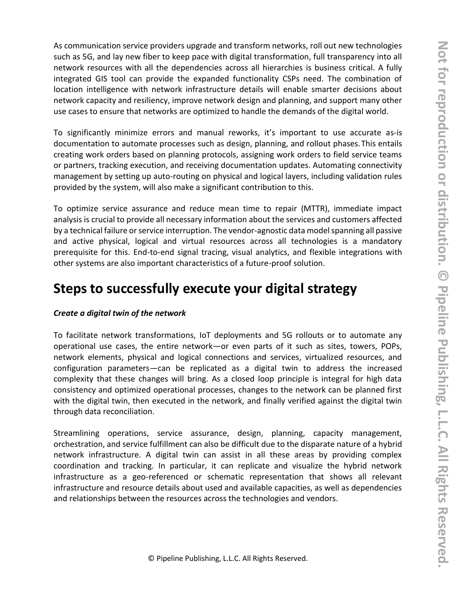As communication service providers upgrade and transform networks, roll out new technologies such as 5G, and lay new fiber to keep pace with digital transformation, full transparency into all network resources with all the dependencies across all hierarchies is business critical. A fully integrated GIS tool can provide the expanded functionality CSPs need. The combination of location intelligence with network infrastructure details will enable smarter decisions about network capacity and resiliency, improve network design and planning, and support many other use cases to ensure that networks are optimized to handle the demands of the digital world.

To significantly minimize errors and manual reworks, it's important to use accurate as-is documentation to automate processes such as design, planning, and rollout phases.This entails creating work orders based on planning protocols, assigning work orders to field service teams or partners, tracking execution, and receiving documentation updates. Automating connectivity management by setting up auto-routing on physical and logical layers, including validation rules provided by the system, will also make a significant contribution to this.

To optimize service assurance and reduce mean time to repair (MTTR), immediate impact analysis is crucial to provide all necessary information about the services and customers affected by a technical failure or service interruption. The vendor-agnostic data model spanning all passive and active physical, logical and virtual resources across all technologies is a mandatory prerequisite for this. End-to-end signal tracing, visual analytics, and flexible integrations with other systems are also important characteristics of a future-proof solution.

### **Steps to successfully execute your digital strategy**

#### *Create a digital twin of the network*

To facilitate network transformations, IoT deployments and 5G rollouts or to automate any operational use cases, the entire network—or even parts of it such as sites, towers, POPs, network elements, physical and logical connections and services, virtualized resources, and configuration parameters—can be replicated as a digital twin to address the increased complexity that these changes will bring. As a closed loop principle is integral for high data consistency and optimized operational processes, changes to the network can be planned first with the digital twin, then executed in the network, and finally verified against the digital twin through data reconciliation.

Streamlining operations, service assurance, design, planning, capacity management, orchestration, and service fulfillment can also be difficult due to the disparate nature of a hybrid network infrastructure. A digital twin can assist in all these areas by providing complex coordination and tracking. In particular, it can replicate and visualize the hybrid network infrastructure as a geo-referenced or schematic representation that shows all relevant infrastructure and resource details about used and available capacities, as well as dependencies and relationships between the resources across the technologies and vendors.